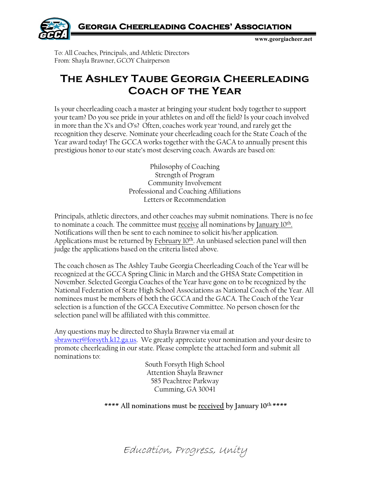

**www.georgiacheer.net**

To: All Coaches, Principals, and Athletic Directors From: Shayla Brawner, GCOY Chairperson

## **The Ashley Taube Georgia Cheerleading Coach of the Year**

Is your cheerleading coach a master at bringing your student body together to support your team? Do you see pride in your athletes on and off the field? Is your coach involved in more than the X's and O's? Often, coaches work year 'round, and rarely get the recognition they deserve. Nominate your cheerleading coach for the State Coach of the Year award today! The GCCA works together with the GACA to annually present this prestigious honor to our state's most deserving coach. Awards are based on:

> Philosophy of Coaching Strength of Program Community Involvement Professional and Coaching Affiliations Letters or Recommendation

Principals, athletic directors, and other coaches may submit nominations. There is no fee to nominate a coach. The committee must receive all nominations by January  $10<sup>th</sup>$ . Notifications will then be sent to each nominee to solicit his/her application. Applications must be returned by February 10th. An unbiased selection panel will then judge the applications based on the criteria listed above.

The coach chosen as The Ashley Taube Georgia Cheerleading Coach of the Year will be recognized at the GCCA Spring Clinic in March and the GHSA State Competition in November. Selected Georgia Coaches of the Year have gone on to be recognized by the National Federation of State High School Associations as National Coach of the Year. All nominees must be members of both the GCCA and the GACA. The Coach of the Year selection is a function of the GCCA Executive Committee. No person chosen for the selection panel will be affiliated with this committee.

Any questions may be directed to Shayla Brawner via email at [sbrawner@forsyth.k12.ga.us.](mailto:sbrawner@forsyth.k12.ga.us) We greatly appreciate your nomination and your desire to promote cheerleading in our state. Please complete the attached form and submit all nominations to:

> South Forsyth High School Attention Shayla Brawner 585 Peachtree Parkway Cumming, GA 30041

## **\*\*\*\* All nominations must be received by January 10th \*\*\*\***

Education, Progress, Unity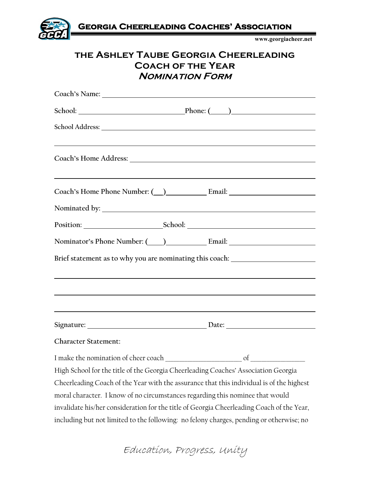

## **the Ashley Taube Georgia Cheerleading Coach of the Year Nomination Form**

| Coach's Name: 2008 Coach et al. 2008 Coach et al. 2010 Coach et al. 2010 Coach et al. 2010 Coach et al. 2010                                                                                               |
|------------------------------------------------------------------------------------------------------------------------------------------------------------------------------------------------------------|
| School: Phone: (2012)                                                                                                                                                                                      |
|                                                                                                                                                                                                            |
|                                                                                                                                                                                                            |
| <u> 1999 - Johann Harry Harry Harry Harry Harry Harry Harry Harry Harry Harry Harry Harry Harry Harry Harry Harry</u><br>Coach's Home Phone Number: ( ) Email: Email:                                      |
|                                                                                                                                                                                                            |
|                                                                                                                                                                                                            |
|                                                                                                                                                                                                            |
| Brief statement as to why you are nominating this coach: _______________________                                                                                                                           |
|                                                                                                                                                                                                            |
|                                                                                                                                                                                                            |
| ,我们也不会有什么。""我们的人,我们也不会有什么?""我们的人,我们也不会有什么?""我们的人,我们也不会有什么?""我们的人,我们也不会有什么?""我们的人<br><u> 1989 - Johann Stoff, deutscher Stoffen und der Stoffen und der Stoffen und der Stoffen und der Stoffen und der</u> |
|                                                                                                                                                                                                            |
| <b>Character Statement:</b>                                                                                                                                                                                |
| I make the nomination of cheer coach<br>$\sigma$                                                                                                                                                           |
| High School for the title of the Georgia Cheerleading Coaches' Association Georgia                                                                                                                         |
| Cheerleading Coach of the Year with the assurance that this individual is of the highest                                                                                                                   |
| moral character. I know of no circumstances regarding this nominee that would                                                                                                                              |
| invalidate his/her consideration for the title of Georgia Cheerleading Coach of the Year,                                                                                                                  |
| including but not limited to the following: no felony charges, pending or otherwise; no                                                                                                                    |

Education, Progress, Unity